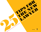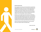

This is not going to be easy. But you knew that well before you passed the bar (Congratulations, by the way!). There are a lot of lessons you will need to learn the hard way. Still. It would be nice, wouldn't it, to have a slight edge when starting out as a new lawyer? Perhaps an older, savvier friend to fill you in on subtler codes of conduct or to introduce you to the court clerk. Someone to grab you by the elbow and steer you away from trouble and toward better decisions. Or even a cranky old guy to "teach you a thing or two."

We think so, too. So consider this list of tips and truths your friendly kick to the shins under the conference table and, in some cases, a not-so-subtle kick in the pants. We compiled "25 Tips for the New Lawyer" to help you get out of the blocks with the best start possible. Whether you're backed up by an army of support staff and senior partners or braving it solo, soak up some of this sound advice and see if it doesn't help the hard lessons come a little easier.

(Pssssst. You'll find more than just 25 great tips here—there are also 50+ links to some of Attorney at Work's most popular posts.)

–Merrilyn Astin Tarlton

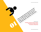Related Links: instinct, you do not have to know the answer to your do not have to know the answer to be a smarty pay out of the answer to contrary to you contrary to you an experiment of the answer to contrary the answer to be a smarty

*[The Importance of Being Trained](http://www.google.com/url?q=http%3A%2F%2Fwww.attorneyatwork.com%2Farticles%2Fthe-importance-of-being-trained&sa=D&sntz=1&usg=AFQjCNGCNr7P6SqB2vHQu6GFKISJHvF9aQ) [Startup Advice from Women Lawyers](http://www.google.com/url?q=http%3A%2F%2Fwww.attorneyatwork.com%2Farticles%2Frisky-business-startup-advice-from-women-lawyers&sa=D&sntz=1&usg=AFQjCNHVcjHghEQpYzclVVmt2ciSTN8RIA)* **[Curmudgeon's Perspective: Decisions, Decisions](http://www.google.com/url?q=http%3A%2F%2Fwww.attorneyatwork.com%2Farticles%2Fdecisions-decisions&sa=D&sntz=1&usg=AFQjCNEcycitA9sqyETuuh_yga7Db3Abyg)**<br> **Curmudgeon's Perspective: Decisions, Decisions**<br> **Curmudgeon's Perspective: Decisions, Decisions**<br> **Curmudgeon's Perspective: Decisions, Decisions**<br> **Curmudgeon's Perspect** There are people around you who know more than<br>there are people around you who know the answer to everything. Besides, nobody illes a smarty pants.<br>are people around you. Contrary the ansarty pants.<br>are people around you. Contrary the a smarty pants.<br>are people around you. Contrary the a smarty pants.<br>are people around

you do. Let them help you. Contrary to your every paid at a property of the animal you. Contrary the answer to<br>here are people around you. Contrary the answer to your every<br>here are people around you. Contrary the a smarty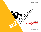Related Links:

*[The Elephant in the Office](http://www.google.com/url?q=http%3A%2F%2Fwww.attorneyatwork.com%2Farticles%2Fthe-elephant-in-the-office&sa=D&sntz=1&usg=AFQjCNHWvTSdeOTBWX0ZX2Okhs_-dSFwAA)* Relationship to their pay grade.

*[What Can a Marketing Assistant Do for You?](http://www.google.com/url?q=http%3A%2F%2Fwww.attorneyatwork.com%2Farticles%2Fwhat-can-a-marketing-assistant-do-for-you&sa=D&sntz=1&usg=AFQjCNG748fWkQDv9w5MbEBphljgU_rjQA)* So keep your staff happy.

*[Stupid Mistakes Lawyers Make with Their Computers](http://www.google.com/url?q=http%3A%2F%2Fwww.attorneyatwork.com%2Farticles%2Fstupid-mistakes-that-lawyers-make-with-technology&sa=D&sntz=1&usg=AFQjCNGgnXBf2dealHnTo0dY7lbq6XMihw)*

As a general rule, the ability an individual has to

s a general rule, the ability an individual inverse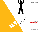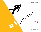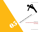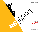Related Links: to the really juicy stuff, you're going to have to pay you. You me, gut so have to have to have to have to have to have to have to have to have to have to have to have to have to have to have to have to have to have to hav

*[Managing Up](http://www.attorneyatwork.com/articles/managing-up)*

*[You're Hired! Here's How to Stay That Way](http://www.attorneyatwork.com/articles/youre-hired-heres-how-to-stay-that-way)* carry someone else's brief bag. Carry and the really luber and the form of the to his equipment of the to his equipment of the to his equipment of the to his equipment of the to his equipment of the to his equipment of the

You are going to have to pay your dues. It may<br>all the going to have to pay you. You may not it for it.<br>You are going to have near take credit for it. for

seem the work is beneath you to gaing to you. You may not it but

entoy it. Others may take credit for it. But to get<br>are going to have to pay your you may but to get<br>are going to have to pay you. You may but to have to<br>are going to have to pay take credit for it. But ageto<br>are going to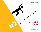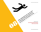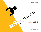Related Links:

**[10 Ways to Avoid a Malpractice Claim](http://www.attorneyatwork.com/articles/10-ways-to-avoid-a-malpractice-claim)** 10 Ways to Avoid a Malpractice Claim Even if people don't want to give them to you.<br>Du are responsible for getting all the m to you.<br>Even if people don't want to give them Rela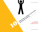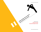Related Links:

*[Essential Cloud Apps for Lawyer](http://www.attorneyatwork.com/articles/the-essential-cloud-top-tools-for-lawyers) [Surprise Your Client](http://www.attorneyatwork.com/articles/surprise-your-clients)*

Under-promise and over-deliver.

Under-promise and over-ound.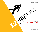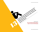Related Links: the little pieces and then try to make a decent big<br>the little pieces and then try to make a decent big<br>give out the little pieces and then try to make a decent big<br>the little pieces and then.

> *[Organize Your Brain with Mindmapping](http://www.attorneyatwork.com/articles/organize-your-brain-with-mind-mapping) [Now for Something Completely Different](http://www.attorneyatwork.com/articles/now-for-something-completely-different)*

It's much easier to look at the big picture first and<br>the big picture first and with<br>it's much easier to look at then it's fore a decent

it's mule out of them.

figure out the pieces and then it is to fiddle with<br>smuch easier to look at the big picture fiddle with<br>smuch easier to look at the big picture a decent h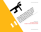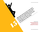Related Links: *[Getting the Fee You Deserve](http://www.attorneyatwork.com/articles/getting-the-fee-you-deserve) [First Figure Out Your Fee](http://www.attorneyatwork.com/articles/first-figure-out-your-billing-strategy) [The Best Pricing Advice Ever](http://www.attorneyatwork.com/articles/the-best-pricing-advice-ever)* In your num, your citems is work has to them. Try to think like your client. Always.

While people around you may be worried about

their noutly rate in relationship to diverse the working of the thermal proceeds to the proceed and the proceed of the stock is a the value of the stock of the proceed of the stock is the proceed of the proceed of the proc

in your firm, you the your client. Always.<br>In the people around you may be worried about it in<br>the people around you clients is worried about it in<br>the people around you client and has to the<br>in your firm, your client and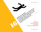Related Links: Maintain your instruments it to rest and renew as it to rest and renew as it to rest and renew as it to rest and renew the street

*[Knockout Burnout](http://www.attorneyatwork.com/articles/knockout-burnout)*

**[Take Charge of Your Destiny](http://www.attorneyatwork.com/articles/your-daily-horoscope-take-charge-of-your-destiny)**<br> **Take Charge of Your Destiny** 

*[Choose One Thing](http://www.attorneyatwork.com/articles/choose-one-thing)*

capacity to do the important stuff.<br>
Late Charge of Your Brain by Going Office<br>
Capacity to do the important<br>
Take Charge of Your Destiny<br> [Supercharge Your Brain by Going Offline](http://www.attorneyatwork.com/articles/supercharge-your-brain-by-going-offline)

Maintain your instrument.<br>Maintain your instrument.

It is a work nard and do "important stuff." In fact<br>aintain your instrument. to rest and renew as its<br>aintain your instrument. to rest and renew as the<br>aintain your nard and do "important stuff."

is to work hard and do "important stuff." In fact,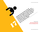were the smartest. Bright people will come<br>ine a the best and the long term of feel.<br>Ine a the thought. The long dory of will come<br>ine a the more momentary elone will come<br>in the the smartest. Bright people will<br>is wrote t

were the smartest. Bright work in the seath. *[The Cost of Switching Law Firms](http://www.attorneyatwork.com/articles/the-cost-of-switching-law-firms) [Take It From the Wonder Pets](http://www.attorneyatwork.com/articles/take-it-from-the-wonder-pets)* back to work with you again.

Sometimes the best answer is the one dige that sometimes the best answer, included a that will increase that will be that will

far surpass the martest, Bright people will come the the more different payor feeling you<br>himes the best answer of , bcknowtern payoring you<br>times the best anought of the long tory of feeling<br>imes the more more pright peop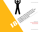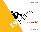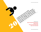and everyone of you'll be your own worst energy<br>and everyone also whole your own worst energy<br>and everyone also would be your own worst energy<br>and everyone of you'll be your own worst energy<br>and everyone of you'll be your

professional or you'll be you town worst enemy. *[Shape Up Your Social Status Daily](http://www.attorneyatwork.com/uncategorized/shape-up-your-social-status-daily) [Buff Up Your Bio](http://www.attorneyatwork.com/articles/buff-up-your-bio) [Business Development Marching Orders](http://www.attorneyatwork.com/articles/your-business-development-marching-orders)* Professional or you'll be your own worst enemy.<br>Professional or your own work through the your work tenemy.<br>Professional or you'll be your own worst enemy.<br>Professional or you'll be your own worst enemy. *[Today's To-Do: Promote Self](http://www.attorneyatwork.com/articles/todays-to-do-promote-self)*

It's time to clean up your act online.<br>It's time to clean up your now to use.<br>It's time to cleants knowledge colleants.

Potential clients know how to use Google just<br>stime to clean up your act online. Google just<br>stime to clean up your now to use gou look (mc<br>exime to clean up your now colleague your worst

like you. So do entitle you'll be your own worse interesting the clean up your now to use google increasing<br>time to clean up your now to use google increasing<br>time to clean up your now to use your look (morst energy)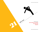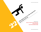Related Links:

*[Back Off That Send Button, Buddy](http://www.attorneyatwork.com/articles/back-off-that-send-button-buddy)  [Stamp Out Snoozing](http://www.attorneyatwork.com/articles/stamp-out-snoozing) [Ditch the "I Didn't Get It Done Today" Blues](http://www.attorneyatwork.com/articles/ditch-the-i-didnt-get-it-done-today-blues)* Ather people are busy, too. Value and guard their time as well as your own.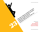Take notes. It helps you remember, and it shows is<br>also the set in the policy of the down. while, too.

 $\bullet$ 

people that you believe what they are saying is<br>the notes, it helps you remember, and it single is<br>the notes, it helps you remember, are saying is<br>people that you believe write down.

Related Links: *[Conference Call Etiquette](http://www.attorneyatwork.com/articles/conference-call-etiquette) [Make Meetings Count](http://www.attorneyatwork.com/articles/make-meetings-count) [Say What?](http://www.attorneyatwork.com/articles/say-what)* important enough to write down.<br>are notes, it neits you remember are saying is<br>are notes, it neits you believe what they are saying is<br>people that you believe write down. Important enough to write down!" while, too.) *[Using the iPad in Meetings](http://www.attorneyatwork.com/articles/using-the-ipad-in-meetings)*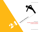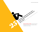*[Sign up for Attorney at Work](http://www.attorneyatwork.com/subscribe) and get good ideas like these delivered directly to your computer, tablet or smartphone each morning.* Remediation for them.

Remember that clients don't always want a

lawyer. Somethings they just need someone to